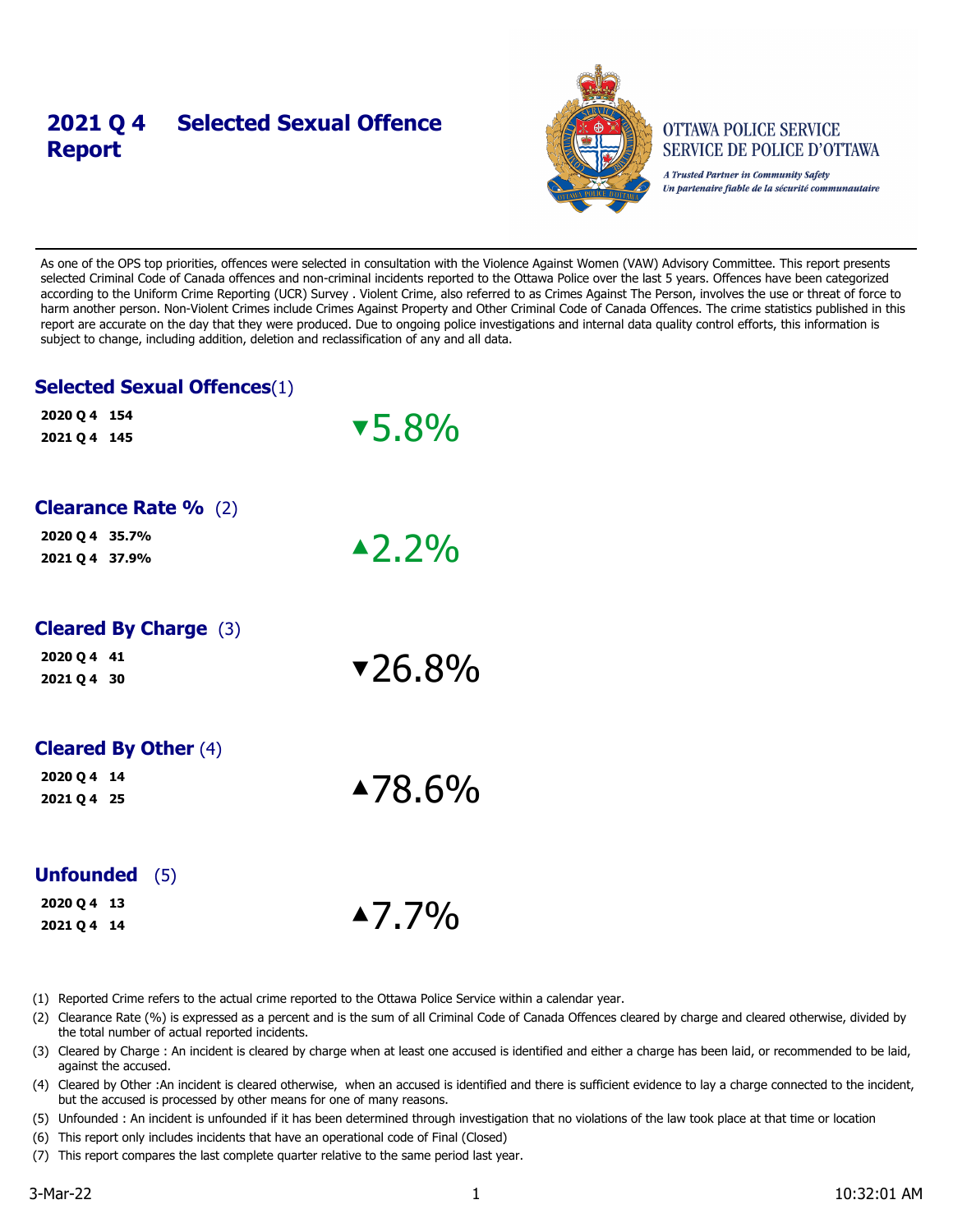## **2021 Q 4 Selected Sexual Offence Report**



#### **OTTAWA POLICE SERVICE SERVICE DE POLICE D'OTTAWA**

A Trusted Partner in Community Safety Un partenaire fiable de la sécurité communautaire

As one of the OPS top priorities, offences were selected in consultation with the Violence Against Women (VAW) Advisory Committee. This report presents selected Criminal Code of Canada offences and non-criminal incidents reported to the Ottawa Police over the last 5 years. Offences have been categorized according to the Uniform Crime Reporting (UCR) Survey . Violent Crime, also referred to as Crimes Against The Person, involves the use or threat of force to harm another person. Non-Violent Crimes include Crimes Against Property and Other Criminal Code of Canada Offences. The crime statistics published in this report are accurate on the day that they were produced. Due to ongoing police investigations and internal data quality control efforts, this information is subject to change, including addition, deletion and reclassification of any and all data.

## **Selected Sexual Offences**(1)

| 2020 Q 4 154<br>2021 Q 4 145                                    | $\sqrt{5.8\%}$    |
|-----------------------------------------------------------------|-------------------|
| <b>Clearance Rate %</b> (2)<br>2020 Q 4 35.7%<br>2021 Q 4 37.9% | $\triangle 2.2\%$ |
| <b>Cleared By Charge (3)</b><br>2020 Q 4 41<br>2021 Q 4 30      | $\sqrt{26.8\%}$   |
| <b>Cleared By Other (4)</b><br>2020 Q 4 14<br>2021 Q 4 25       | $\triangle$ 78.6% |
| <b>Unfounded</b> (5)                                            |                   |

| .           |  |  |
|-------------|--|--|
| 2020 Q 4 13 |  |  |

 $2020 \, Q \, 4 \, 13$ <br> $2021 \, Q \, 4 \, 14$ 

(1) Reported Crime refers to the actual crime reported to the Ottawa Police Service within a calendar year.

- (2) Clearance Rate (%) is expressed as a percent and is the sum of all Criminal Code of Canada Offences cleared by charge and cleared otherwise, divided by the total number of actual reported incidents.
- (3) Cleared by Charge : An incident is cleared by charge when at least one accused is identified and either a charge has been laid, or recommended to be laid, against the accused.
- (4) Cleared by Other :An incident is cleared otherwise, when an accused is identified and there is sufficient evidence to lay a charge connected to the incident, but the accused is processed by other means for one of many reasons.
- (5) Unfounded : An incident is unfounded if it has been determined through investigation that no violations of the law took place at that time or location
- (6) This report only includes incidents that have an operational code of Final (Closed)
- (7) This report compares the last complete quarter relative to the same period last year.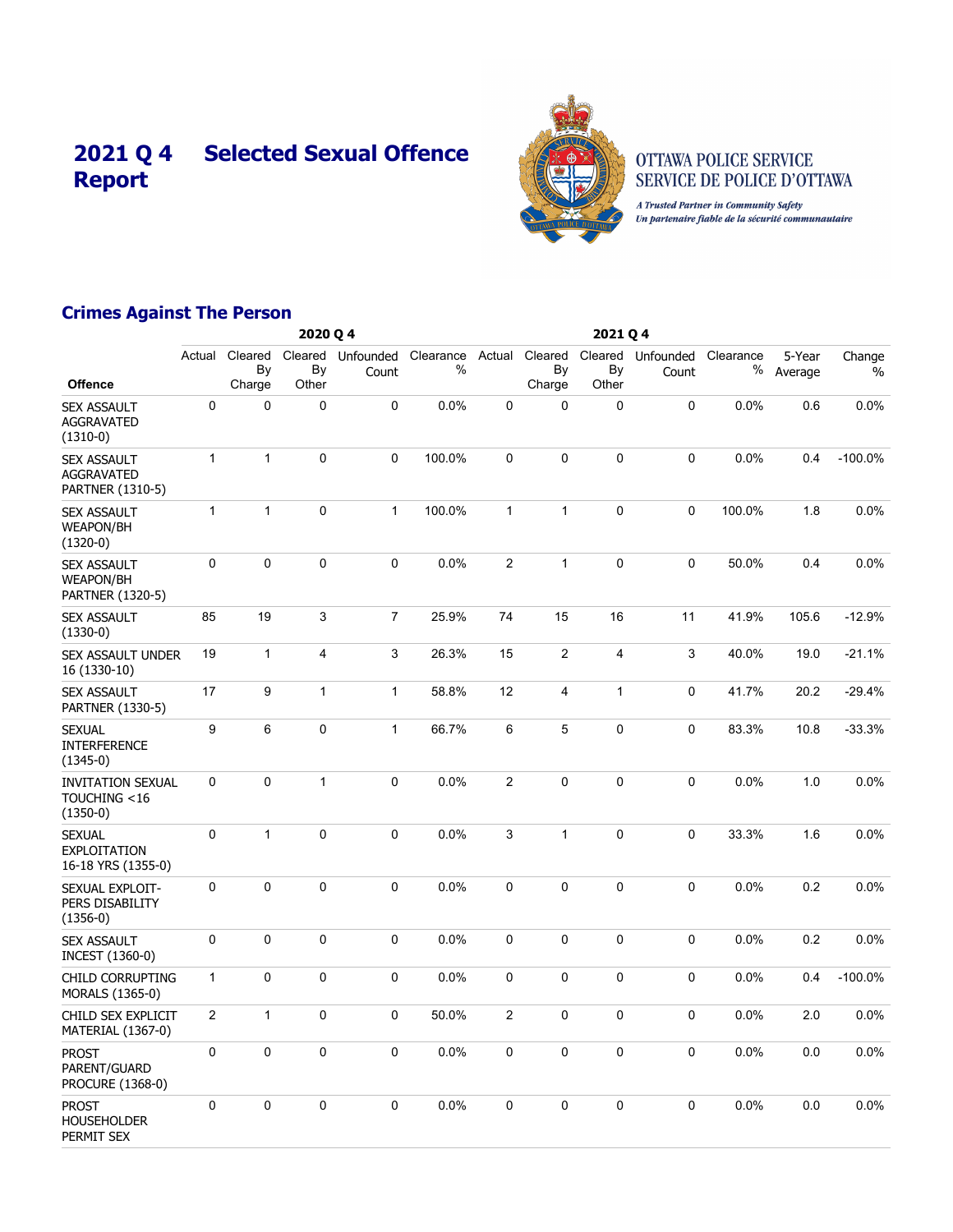# **2021 Q 4 Selected Sexual Offence Report**



#### OTTAWA POLICE SERVICE SERVICE DE POLICE D'OTTAWA

A Trusted Partner in Community Safety Un partenaire fiable de la sécurité communautaire

## **Crimes Against The Person**

|                                                             |                         |                         | 2020 Q 4               |                    |                |                |                         |                         |                    |                |                   |                         |
|-------------------------------------------------------------|-------------------------|-------------------------|------------------------|--------------------|----------------|----------------|-------------------------|-------------------------|--------------------|----------------|-------------------|-------------------------|
| <b>Offence</b>                                              | Actual                  | Cleared<br>By<br>Charge | Cleared<br>By<br>Other | Unfounded<br>Count | Clearance<br>% | Actual         | Cleared<br>By<br>Charge | Cleared<br>By<br>Other  | Unfounded<br>Count | Clearance<br>℅ | 5-Year<br>Average | Change<br>$\frac{0}{0}$ |
| <b>SEX ASSAULT</b><br><b>AGGRAVATED</b><br>$(1310-0)$       | 0                       | 0                       | $\mathbf 0$            | 0                  | 0.0%           | 0              | $\Omega$                | $\mathbf 0$             | 0                  | 0.0%           | 0.6               | 0.0%                    |
| <b>SEX ASSAULT</b><br><b>AGGRAVATED</b><br>PARTNER (1310-5) | $\mathbf{1}$            | $\mathbf{1}$            | 0                      | 0                  | 100.0%         | 0              | $\mathbf 0$             | $\mathbf 0$             | 0                  | 0.0%           | 0.4               | $-100.0%$               |
| <b>SEX ASSAULT</b><br><b>WEAPON/BH</b><br>$(1320-0)$        | $\mathbf{1}$            | $\mathbf{1}$            | $\mathbf 0$            | $\mathbf{1}$       | 100.0%         | $\mathbf{1}$   | $\mathbf{1}$            | $\pmb{0}$               | 0                  | 100.0%         | 1.8               | 0.0%                    |
| <b>SEX ASSAULT</b><br><b>WEAPON/BH</b><br>PARTNER (1320-5)  | 0                       | 0                       | 0                      | 0                  | 0.0%           | $\overline{c}$ | $\mathbf{1}$            | $\pmb{0}$               | 0                  | 50.0%          | 0.4               | 0.0%                    |
| <b>SEX ASSAULT</b><br>$(1330-0)$                            | 85                      | 19                      | 3                      | $\overline{7}$     | 25.9%          | 74             | 15                      | 16                      | 11                 | 41.9%          | 105.6             | $-12.9%$                |
| SEX ASSAULT UNDER<br>16 (1330-10)                           | 19                      | $\mathbf{1}$            | 4                      | 3                  | 26.3%          | 15             | $\overline{2}$          | $\overline{\mathbf{4}}$ | 3                  | 40.0%          | 19.0              | $-21.1%$                |
| <b>SEX ASSAULT</b><br>PARTNER (1330-5)                      | 17                      | 9                       | $\mathbf{1}$           | $\mathbf{1}$       | 58.8%          | 12             | $\overline{4}$          | $\mathbf{1}$            | 0                  | 41.7%          | 20.2              | $-29.4%$                |
| <b>SEXUAL</b><br><b>INTERFERENCE</b><br>$(1345-0)$          | 9                       | $\,6$                   | $\mathbf 0$            | $\mathbf{1}$       | 66.7%          | 6              | 5                       | $\mathbf 0$             | 0                  | 83.3%          | 10.8              | $-33.3%$                |
| <b>INVITATION SEXUAL</b><br>TOUCHING <16<br>$(1350-0)$      | 0                       | 0                       | $\mathbf{1}$           | 0                  | 0.0%           | $\overline{c}$ | $\mathbf 0$             | $\pmb{0}$               | 0                  | 0.0%           | 1.0               | 0.0%                    |
| <b>SEXUAL</b><br><b>EXPLOITATION</b><br>16-18 YRS (1355-0)  | 0                       | $\mathbf{1}$            | $\mathbf 0$            | 0                  | 0.0%           | 3              | $\mathbf{1}$            | $\pmb{0}$               | 0                  | 33.3%          | 1.6               | 0.0%                    |
| SEXUAL EXPLOIT-<br>PERS DISABILITY<br>$(1356-0)$            | 0                       | $\mathbf 0$             | $\mathbf{0}$           | $\mathbf 0$        | 0.0%           | $\mathbf 0$    | $\mathbf 0$             | $\mathbf 0$             | 0                  | 0.0%           | 0.2               | 0.0%                    |
| SEX ASSAULT<br>INCEST (1360-0)                              | 0                       | 0                       | 0                      | 0                  | 0.0%           | $\pmb{0}$      | $\mathbf 0$             | $\pmb{0}$               | 0                  | 0.0%           | 0.2               | 0.0%                    |
| CHILD CORRUPTING<br>MORALS (1365-0)                         | $\mathbf{1}$            | 0                       | $\mathbf 0$            | 0                  | 0.0%           | $\mathbf 0$    | $\mathbf 0$             | $\mathbf 0$             | 0                  | 0.0%           | 0.4               | $-100.0%$               |
| CHILD SEX EXPLICIT<br>MATERIAL (1367-0)                     | $\overline{\mathbf{c}}$ | $\mathbf{1}$            | 0                      | 0                  | 50.0%          | 2              | $\mathbf 0$             | $\mathbf 0$             | 0                  | 0.0%           | 2.0               | 0.0%                    |
| <b>PROST</b><br>PARENT/GUARD<br>PROCURE (1368-0)            | $\Omega$                | 0                       | $\mathbf 0$            | 0                  | 0.0%           | $\pmb{0}$      | $\Omega$                | $\pmb{0}$               | 0                  | 0.0%           | 0.0               | 0.0%                    |
| <b>PROST</b><br><b>HOUSEHOLDER</b><br>PERMIT SEX            | 0                       | $\mathbf 0$             | $\mathbf 0$            | $\mathbf 0$        | 0.0%           | $\mathbf 0$    | $\mathbf 0$             | $\mathbf 0$             | 0                  | 0.0%           | 0.0               | 0.0%                    |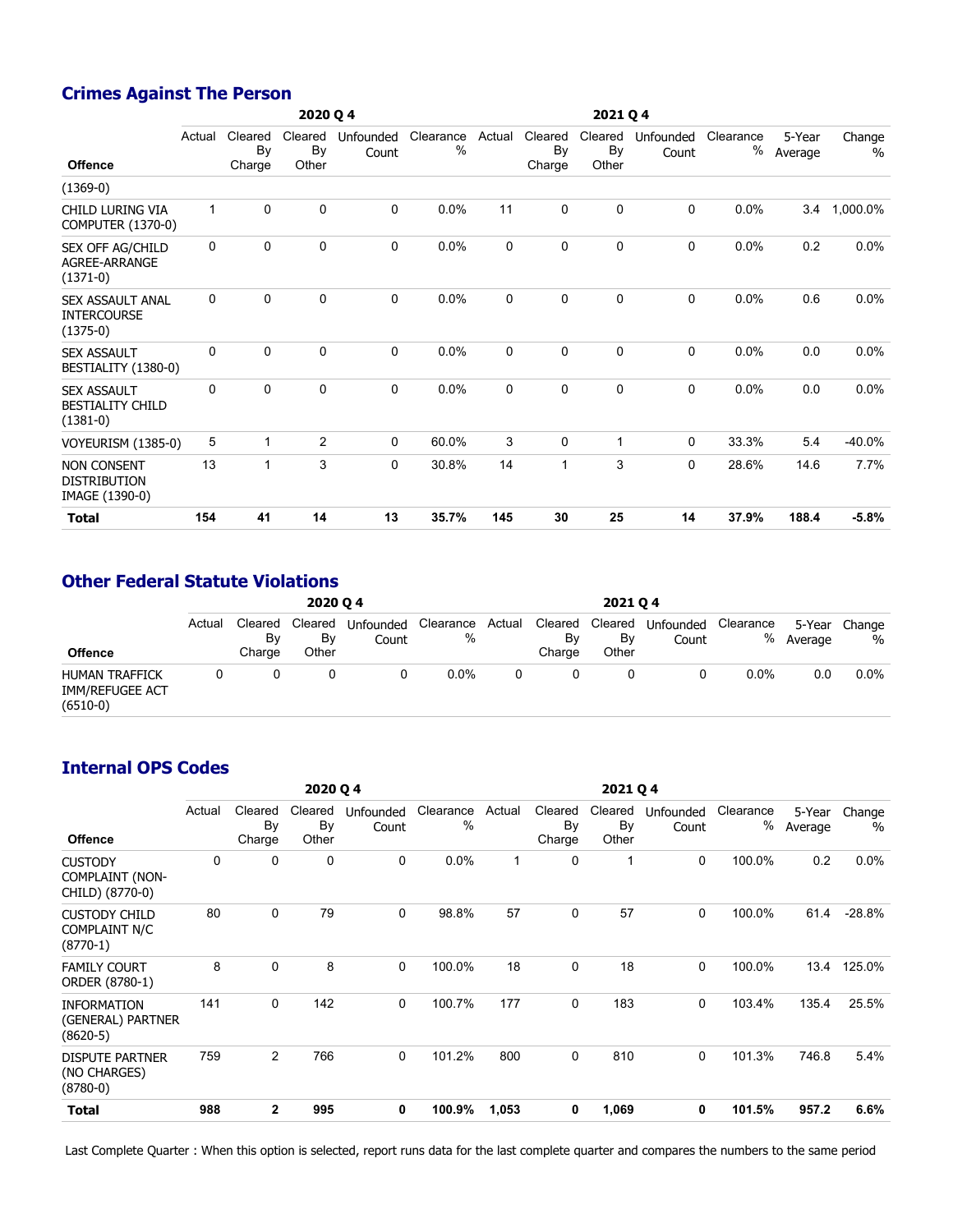## **Crimes Against The Person**

|                                                             |              |                         | 2020 Q 4               |                    |                   |        |                         |                        |                    |                |                   |                |
|-------------------------------------------------------------|--------------|-------------------------|------------------------|--------------------|-------------------|--------|-------------------------|------------------------|--------------------|----------------|-------------------|----------------|
| <b>Offence</b>                                              | Actual       | Cleared<br>By<br>Charge | Cleared<br>By<br>Other | Unfounded<br>Count | Clearance<br>$\%$ | Actual | Cleared<br>By<br>Charge | Cleared<br>By<br>Other | Unfounded<br>Count | Clearance<br>% | 5-Year<br>Average | Change<br>$\%$ |
| $(1369-0)$                                                  |              |                         |                        |                    |                   |        |                         |                        |                    |                |                   |                |
| CHILD LURING VIA<br><b>COMPUTER (1370-0)</b>                | $\mathbf{1}$ | $\mathbf 0$             | $\Omega$               | 0                  | 0.0%              | 11     | 0                       | 0                      | $\Omega$           | 0.0%           | 3.4               | 1,000.0%       |
| SEX OFF AG/CHILD<br>AGREE-ARRANGE<br>$(1371-0)$             | $\Omega$     | 0                       | $\Omega$               | 0                  | 0.0%              | 0      | 0                       | 0                      | $\Omega$           | 0.0%           | 0.2               | 0.0%           |
| <b>SEX ASSAULT ANAL</b><br><b>INTERCOURSE</b><br>$(1375-0)$ | 0            | 0                       | $\mathbf 0$            | 0                  | 0.0%              | 0      | 0                       | $\mathbf 0$            | $\mathbf 0$        | 0.0%           | 0.6               | 0.0%           |
| <b>SEX ASSAULT</b><br>BESTIALITY (1380-0)                   | $\Omega$     | $\mathbf 0$             | $\mathbf 0$            | 0                  | 0.0%              | 0      | 0                       | 0                      | 0                  | 0.0%           | 0.0               | 0.0%           |
| <b>SEX ASSAULT</b><br><b>BESTIALITY CHILD</b><br>$(1381-0)$ | 0            | $\mathbf 0$             | $\mathbf 0$            | 0                  | 0.0%              | 0      | 0                       | 0                      | 0                  | 0.0%           | 0.0               | $0.0\%$        |
| VOYEURISM (1385-0)                                          | 5            | $\mathbf{1}$            | $\overline{2}$         | 0                  | 60.0%             | 3      | 0                       | 1                      | 0                  | 33.3%          | 5.4               | $-40.0%$       |
| <b>NON CONSENT</b><br><b>DISTRIBUTION</b><br>IMAGE (1390-0) | 13           | $\mathbf{1}$            | 3                      | 0                  | 30.8%             | 14     | 1                       | 3                      | $\Omega$           | 28.6%          | 14.6              | 7.7%           |
| <b>Total</b>                                                | 154          | 41                      | 14                     | 13                 | 35.7%             | 145    | 30                      | 25                     | 14                 | 37.9%          | 188.4             | $-5.8%$        |

## **Other Federal Statute Violations**

| <b>Offence</b>                                                | 2020 04 |                         |                        |                    |                          |   | 2021 04                 |                        |                    |           |           |                    |
|---------------------------------------------------------------|---------|-------------------------|------------------------|--------------------|--------------------------|---|-------------------------|------------------------|--------------------|-----------|-----------|--------------------|
|                                                               | Actual  | Cleared<br>Bv<br>Charge | Cleared<br>By<br>Other | Unfounded<br>Count | Clearance Actual<br>$\%$ |   | Cleared<br>Bv<br>Charge | Cleared<br>By<br>Other | Unfounded<br>Count | Clearance | % Average | 5-Year Change<br>% |
| <b>HUMAN TRAFFICK</b><br><b>IMM/REFUGEE ACT</b><br>$(6510-0)$ |         |                         |                        |                    | $0.0\%$                  | 0 |                         |                        |                    | $0.0\%$   | 0.0       | $0.0\%$            |

#### **Internal OPS Codes**

|                                                             |        |                         | 2020 Q 4               |                    |                   | 2021 Q 4 |                         |                        |                    |                |                   |                |
|-------------------------------------------------------------|--------|-------------------------|------------------------|--------------------|-------------------|----------|-------------------------|------------------------|--------------------|----------------|-------------------|----------------|
| <b>Offence</b>                                              | Actual | Cleared<br>By<br>Charge | Cleared<br>By<br>Other | Unfounded<br>Count | Clearance<br>$\%$ | Actual   | Cleared<br>By<br>Charge | Cleared<br>By<br>Other | Unfounded<br>Count | Clearance<br>% | 5-Year<br>Average | Change<br>$\%$ |
| <b>CUSTODY</b><br><b>COMPLAINT (NON-</b><br>CHILD) (8770-0) | 0      | 0                       | 0                      | 0                  | 0.0%              | 1        | 0                       | 1                      | 0                  | 100.0%         | 0.2               | 0.0%           |
| <b>CUSTODY CHILD</b><br>COMPLAINT N/C<br>$(8770-1)$         | 80     | $\mathbf 0$             | 79                     | 0                  | 98.8%             | 57       | 0                       | 57                     | $\mathbf 0$        | 100.0%         | 61.4              | $-28.8%$       |
| <b>FAMILY COURT</b><br>ORDER (8780-1)                       | 8      | $\mathbf 0$             | 8                      | 0                  | 100.0%            | 18       | 0                       | 18                     | $\mathbf 0$        | 100.0%         | 13.4              | 125.0%         |
| <b>INFORMATION</b><br>(GENERAL) PARTNER<br>$(8620-5)$       | 141    | 0                       | 142                    | 0                  | 100.7%            | 177      | 0                       | 183                    | 0                  | 103.4%         | 135.4             | 25.5%          |
| <b>DISPUTE PARTNER</b><br>(NO CHARGES)<br>$(8780-0)$        | 759    | $\overline{c}$          | 766                    | 0                  | 101.2%            | 800      | 0                       | 810                    | $\mathbf 0$        | 101.3%         | 746.8             | 5.4%           |
| Total                                                       | 988    | $\mathbf{2}$            | 995                    | 0                  | 100.9%            | 1,053    | 0                       | 1,069                  | 0                  | 101.5%         | 957.2             | 6.6%           |
|                                                             |        |                         |                        |                    |                   |          |                         |                        |                    |                |                   |                |

Last Complete Quarter : When this option is selected, report runs data for the last complete quarter and compares the numbers to the same period